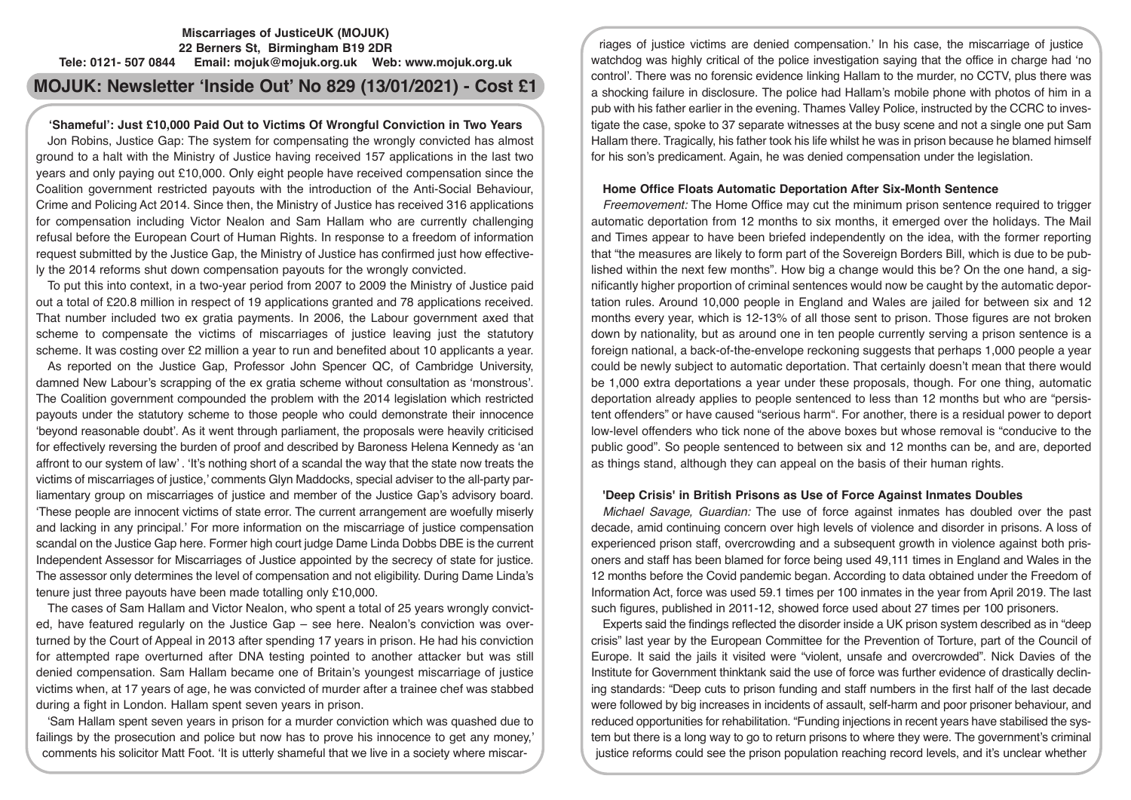# **Miscarriages of JusticeUK (MOJUK) 22 Berners St, Birmingham B19 2DR Tele: 0121- 507 0844 Email: mojuk@mojuk.org.uk Web: www.mojuk.org.uk**

# **MOJUK: Newsletter 'Inside Out' No 829 (13/01/2021) - Cost £1**

# **'Shameful': Just £10,000 Paid Out to Victims Of Wrongful Conviction in Two Years**

Jon Robins, Justice Gap: The system for compensating the wrongly convicted has almost ground to a halt with the Ministry of Justice having received 157 applications in the last two years and only paying out £10,000. Only eight people have received compensation since the Coalition government restricted payouts with the introduction of the Anti-Social Behaviour, Crime and Policing Act 2014. Since then, the Ministry of Justice has received 316 applications for compensation including Victor Nealon and Sam Hallam who are currently challenging refusal before the European Court of Human Rights. In response to a freedom of information request submitted by the Justice Gap, the Ministry of Justice has confirmed just how effectively the 2014 reforms shut down compensation payouts for the wrongly convicted.

To put this into context, in a two-year period from 2007 to 2009 the Ministry of Justice paid out a total of £20.8 million in respect of 19 applications granted and 78 applications received. That number included two ex gratia payments. In 2006, the Labour government axed that scheme to compensate the victims of miscarriages of justice leaving just the statutory scheme. It was costing over £2 million a year to run and benefited about 10 applicants a year.

As reported on the Justice Gap, Professor John Spencer QC, of Cambridge University, damned New Labour's scrapping of the ex gratia scheme without consultation as 'monstrous'. The Coalition government compounded the problem with the 2014 legislation which restricted payouts under the statutory scheme to those people who could demonstrate their innocence 'beyond reasonable doubt'. As it went through parliament, the proposals were heavily criticised for effectively reversing the burden of proof and described by Baroness Helena Kennedy as 'an affront to our system of law' . 'It's nothing short of a scandal the way that the state now treats the victims of miscarriages of justice,' comments Glyn Maddocks, special adviser to the all-party parliamentary group on miscarriages of justice and member of the Justice Gap's advisory board. 'These people are innocent victims of state error. The current arrangement are woefully miserly and lacking in any principal.' For more information on the miscarriage of justice compensation scandal on the Justice Gap here. Former high court judge Dame Linda Dobbs DBE is the current Independent Assessor for Miscarriages of Justice appointed by the secrecy of state for justice. The assessor only determines the level of compensation and not eligibility. During Dame Linda's tenure just three payouts have been made totalling only £10,000.

The cases of Sam Hallam and Victor Nealon, who spent a total of 25 years wrongly convicted, have featured regularly on the Justice Gap – see here. Nealon's conviction was overturned by the Court of Appeal in 2013 after spending 17 years in prison. He had his conviction for attempted rape overturned after DNA testing pointed to another attacker but was still denied compensation. Sam Hallam became one of Britain's youngest miscarriage of justice victims when, at 17 years of age, he was convicted of murder after a trainee chef was stabbed during a fight in London. Hallam spent seven years in prison.

'Sam Hallam spent seven years in prison for a murder conviction which was quashed due to failings by the prosecution and police but now has to prove his innocence to get any money,' comments his solicitor Matt Foot. 'It is utterly shameful that we live in a society where miscar-

riages of justice victims are denied compensation.' In his case, the miscarriage of justice watchdog was highly critical of the police investigation saying that the office in charge had 'no control'. There was no forensic evidence linking Hallam to the murder, no CCTV, plus there was a shocking failure in disclosure. The police had Hallam's mobile phone with photos of him in a pub with his father earlier in the evening. Thames Valley Police, instructed by the CCRC to investigate the case, spoke to 37 separate witnesses at the busy scene and not a single one put Sam Hallam there. Tragically, his father took his life whilst he was in prison because he blamed himself for his son's predicament. Again, he was denied compensation under the legislation.

## **Home Office Floats Automatic Deportation After Six-Month Sentence**

*Freemovement:* The Home Office may cut the minimum prison sentence required to trigger automatic deportation from 12 months to six months, it emerged over the holidays. The Mail and Times appear to have been briefed independently on the idea, with the former reporting that "the measures are likely to form part of the Sovereign Borders Bill, which is due to be published within the next few months". How big a change would this be? On the one hand, a significantly higher proportion of criminal sentences would now be caught by the automatic deportation rules. Around 10,000 people in England and Wales are jailed for between six and 12 months every year, which is 12-13% of all those sent to prison. Those figures are not broken down by nationality, but as around one in ten people currently serving a prison sentence is a foreign national, a back-of-the-envelope reckoning suggests that perhaps 1,000 people a year could be newly subject to automatic deportation. That certainly doesn't mean that there would be 1,000 extra deportations a year under these proposals, though. For one thing, automatic deportation already applies to people sentenced to less than 12 months but who are "persistent offenders" or have caused "serious harm". For another, there is a residual power to deport low-level offenders who tick none of the above boxes but whose removal is "conducive to the public good". So people sentenced to between six and 12 months can be, and are, deported as things stand, although they can appeal on the basis of their human rights.

## **'Deep Crisis' in British Prisons as Use of Force Against Inmates Doubles**

*Michael Savage, Guardian:* The use of force against inmates has doubled over the past decade, amid continuing concern over high levels of violence and disorder in prisons. A loss of experienced prison staff, overcrowding and a subsequent growth in violence against both prisoners and staff has been blamed for force being used 49,111 times in England and Wales in the 12 months before the Covid pandemic began. According to data obtained under the Freedom of Information Act, force was used 59.1 times per 100 inmates in the year from April 2019. The last such figures, published in 2011-12, showed force used about 27 times per 100 prisoners.

Experts said the findings reflected the disorder inside a UK prison system described as in "deep crisis" last year by the European Committee for the Prevention of Torture, part of the Council of Europe. It said the jails it visited were "violent, unsafe and overcrowded". Nick Davies of the Institute for Government thinktank said the use of force was further evidence of drastically declining standards: "Deep cuts to prison funding and staff numbers in the first half of the last decade were followed by big increases in incidents of assault, self-harm and poor prisoner behaviour, and reduced opportunities for rehabilitation. "Funding injections in recent years have stabilised the system but there is a long way to go to return prisons to where they were. The government's criminal justice reforms could see the prison population reaching record levels, and it's unclear whether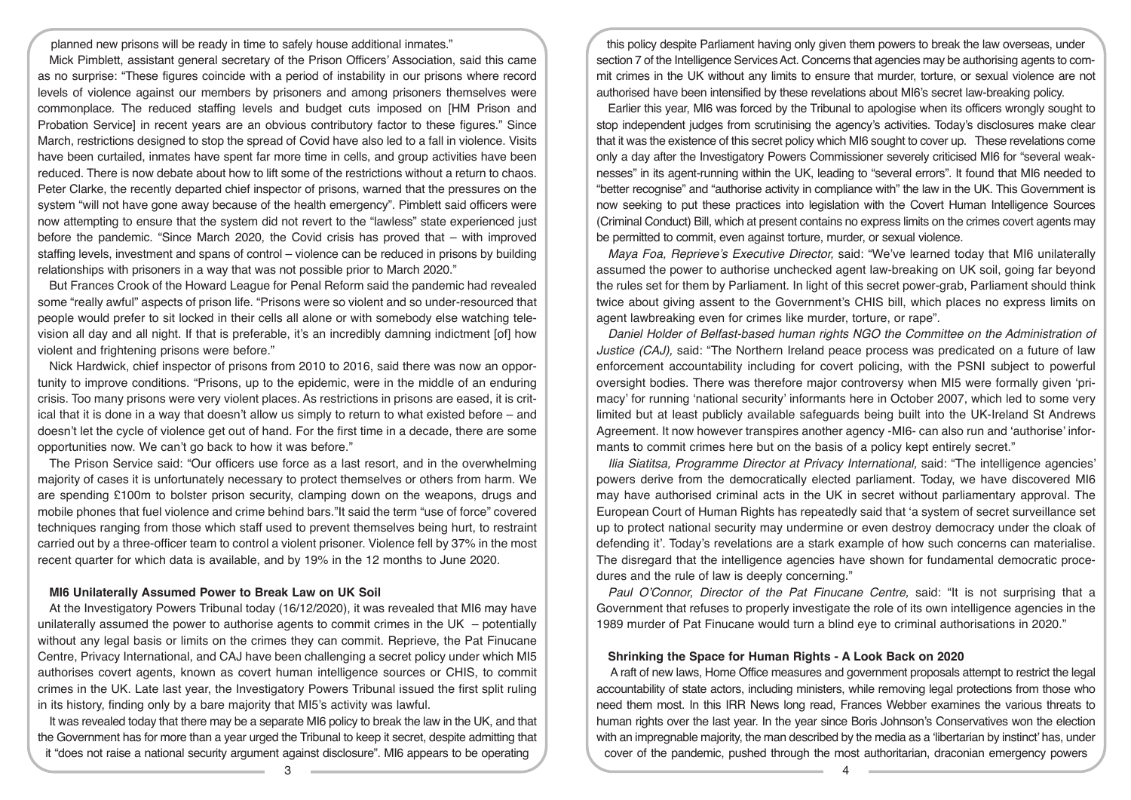planned new prisons will be ready in time to safely house additional inmates."

Mick Pimblett, assistant general secretary of the Prison Officers' Association, said this came as no surprise: "These figures coincide with a period of instability in our prisons where record levels of violence against our members by prisoners and among prisoners themselves were commonplace. The reduced staffing levels and budget cuts imposed on [HM Prison and Probation Service] in recent years are an obvious contributory factor to these figures." Since March, restrictions designed to stop the spread of Covid have also led to a fall in violence. Visits have been curtailed, inmates have spent far more time in cells, and group activities have been reduced. There is now debate about how to lift some of the restrictions without a return to chaos. Peter Clarke, the recently departed chief inspector of prisons, warned that the pressures on the system "will not have gone away because of the health emergency". Pimblett said officers were now attempting to ensure that the system did not revert to the "lawless" state experienced just before the pandemic. "Since March 2020, the Covid crisis has proved that – with improved staffing levels, investment and spans of control – violence can be reduced in prisons by building relationships with prisoners in a way that was not possible prior to March 2020."

But Frances Crook of the Howard League for Penal Reform said the pandemic had revealed some "really awful" aspects of prison life. "Prisons were so violent and so under-resourced that people would prefer to sit locked in their cells all alone or with somebody else watching television all day and all night. If that is preferable, it's an incredibly damning indictment [of] how violent and frightening prisons were before."

Nick Hardwick, chief inspector of prisons from 2010 to 2016, said there was now an opportunity to improve conditions. "Prisons, up to the epidemic, were in the middle of an enduring crisis. Too many prisons were very violent places. As restrictions in prisons are eased, it is critical that it is done in a way that doesn't allow us simply to return to what existed before – and doesn't let the cycle of violence get out of hand. For the first time in a decade, there are some opportunities now. We can't go back to how it was before."

The Prison Service said: "Our officers use force as a last resort, and in the overwhelming majority of cases it is unfortunately necessary to protect themselves or others from harm. We are spending £100m to bolster prison security, clamping down on the weapons, drugs and mobile phones that fuel violence and crime behind bars."It said the term "use of force" covered techniques ranging from those which staff used to prevent themselves being hurt, to restraint carried out by a three-officer team to control a violent prisoner. Violence fell by 37% in the most recent quarter for which data is available, and by 19% in the 12 months to June 2020.

## **MI6 Unilaterally Assumed Power to Break Law on UK Soil**

At the Investigatory Powers Tribunal today (16/12/2020), it was revealed that MI6 may have unilaterally assumed the power to authorise agents to commit crimes in the UK  $-$  potentially without any legal basis or limits on the crimes they can commit. Reprieve, the Pat Finucane Centre, Privacy International, and CAJ have been challenging a secret policy under which MI5 authorises covert agents, known as covert human intelligence sources or CHIS, to commit crimes in the UK. Late last year, the Investigatory Powers Tribunal issued the first split ruling in its history, finding only by a bare majority that MI5's activity was lawful.

It was revealed today that there may be a separate MI6 policy to break the law in the UK, and that the Government has for more than a year urged the Tribunal to keep it secret, despite admitting that it "does not raise a national security argument against disclosure". MI6 appears to be operating

this policy despite Parliament having only given them powers to break the law overseas, under section 7 of the Intelligence Services Act. Concerns that agencies may be authorising agents to commit crimes in the UK without any limits to ensure that murder, torture, or sexual violence are not authorised have been intensified by these revelations about MI6's secret law-breaking policy.

Earlier this year, MI6 was forced by the Tribunal to apologise when its officers wrongly sought to stop independent judges from scrutinising the agency's activities. Today's disclosures make clear that it was the existence of this secret policy which MI6 sought to cover up. These revelations come only a day after the Investigatory Powers Commissioner severely criticised MI6 for "several weaknesses" in its agent-running within the UK, leading to "several errors". It found that MI6 needed to "better recognise" and "authorise activity in compliance with" the law in the UK. This Government is now seeking to put these practices into legislation with the Covert Human Intelligence Sources (Criminal Conduct) Bill, which at present contains no express limits on the crimes covert agents may be permitted to commit, even against torture, murder, or sexual violence.

*Maya Foa, Reprieve's Executive Director,* said: "We've learned today that MI6 unilaterally assumed the power to authorise unchecked agent law-breaking on UK soil, going far beyond the rules set for them by Parliament. In light of this secret power-grab, Parliament should think twice about giving assent to the Government's CHIS bill, which places no express limits on agent lawbreaking even for crimes like murder, torture, or rape".

*Daniel Holder of Belfast-based human rights NGO the Committee on the Administration of Justice (CAJ),* said: "The Northern Ireland peace process was predicated on a future of law enforcement accountability including for covert policing, with the PSNI subject to powerful oversight bodies. There was therefore major controversy when MI5 were formally given 'primacy' for running 'national security' informants here in October 2007, which led to some very limited but at least publicly available safeguards being built into the UK-Ireland St Andrews Agreement. It now however transpires another agency -MI6- can also run and 'authorise' informants to commit crimes here but on the basis of a policy kept entirely secret."

*Ilia Siatitsa, Programme Director at Privacy International,* said: "The intelligence agencies' powers derive from the democratically elected parliament. Today, we have discovered MI6 may have authorised criminal acts in the UK in secret without parliamentary approval. The European Court of Human Rights has repeatedly said that 'a system of secret surveillance set up to protect national security may undermine or even destroy democracy under the cloak of defending it'. Today's revelations are a stark example of how such concerns can materialise. The disregard that the intelligence agencies have shown for fundamental democratic procedures and the rule of law is deeply concerning."

*Paul O'Connor, Director of the Pat Finucane Centre,* said: "It is not surprising that a Government that refuses to properly investigate the role of its own intelligence agencies in the 1989 murder of Pat Finucane would turn a blind eye to criminal authorisations in 2020."

#### **Shrinking the Space for Human Rights - A Look Back on 2020**

 A raft of new laws, Home Office measures and government proposals attempt to restrict the legal accountability of state actors, including ministers, while removing legal protections from those who need them most. In this IRR News long read, Frances Webber examines the various threats to human rights over the last year. In the year since Boris Johnson's Conservatives won the election with an impregnable majority, the man described by the media as a 'libertarian by instinct' has, under cover of the pandemic, pushed through the most authoritarian, draconian emergency powers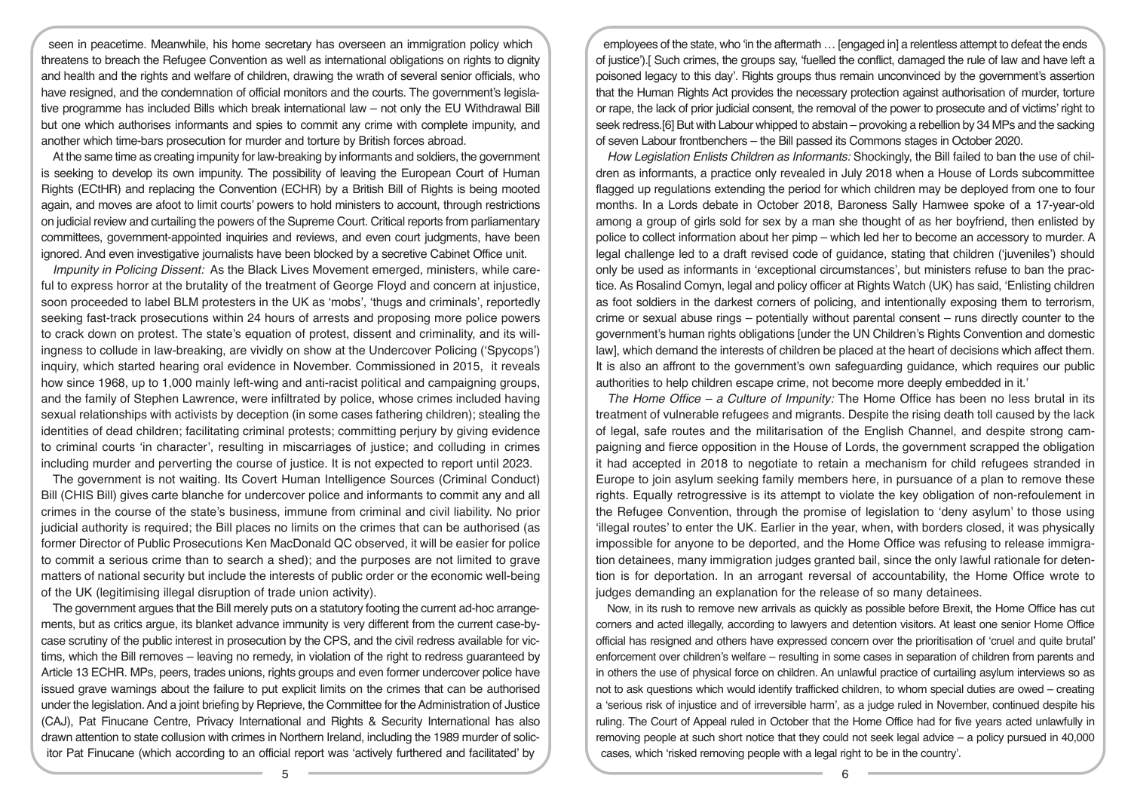seen in peacetime. Meanwhile, his home secretary has overseen an immigration policy which threatens to breach the Refugee Convention as well as international obligations on rights to dignity and health and the rights and welfare of children, drawing the wrath of several senior officials, who have resigned, and the condemnation of official monitors and the courts. The government's legislative programme has included Bills which break international law – not only the EU Withdrawal Bill but one which authorises informants and spies to commit any crime with complete impunity, and another which time-bars prosecution for murder and torture by British forces abroad.

At the same time as creating impunity for law-breaking by informants and soldiers, the government is seeking to develop its own impunity. The possibility of leaving the European Court of Human Rights (ECtHR) and replacing the Convention (ECHR) by a British Bill of Rights is being mooted again, and moves are afoot to limit courts' powers to hold ministers to account, through restrictions on judicial review and curtailing the powers of the Supreme Court. Critical reports from parliamentary committees, government-appointed inquiries and reviews, and even court judgments, have been ignored. And even investigative journalists have been blocked by a secretive Cabinet Office unit.

*Impunity in Policing Dissent:* As the Black Lives Movement emerged, ministers, while careful to express horror at the brutality of the treatment of George Floyd and concern at injustice, soon proceeded to label BLM protesters in the UK as 'mobs', 'thugs and criminals', reportedly seeking fast-track prosecutions within 24 hours of arrests and proposing more police powers to crack down on protest. The state's equation of protest, dissent and criminality, and its willingness to collude in law-breaking, are vividly on show at the Undercover Policing ('Spycops') inquiry, which started hearing oral evidence in November. Commissioned in 2015, it reveals how since 1968, up to 1,000 mainly left-wing and anti-racist political and campaigning groups, and the family of Stephen Lawrence, were infiltrated by police, whose crimes included having sexual relationships with activists by deception (in some cases fathering children); stealing the identities of dead children; facilitating criminal protests; committing perjury by giving evidence to criminal courts 'in character', resulting in miscarriages of justice; and colluding in crimes including murder and perverting the course of justice. It is not expected to report until 2023.

The government is not waiting. Its Covert Human Intelligence Sources (Criminal Conduct) Bill (CHIS Bill) gives carte blanche for undercover police and informants to commit any and all crimes in the course of the state's business, immune from criminal and civil liability. No prior judicial authority is required; the Bill places no limits on the crimes that can be authorised (as former Director of Public Prosecutions Ken MacDonald QC observed, it will be easier for police to commit a serious crime than to search a shed); and the purposes are not limited to grave matters of national security but include the interests of public order or the economic well-being of the UK (legitimising illegal disruption of trade union activity).

The government argues that the Bill merely puts on a statutory footing the current ad-hoc arrangements, but as critics argue, its blanket advance immunity is very different from the current case-bycase scrutiny of the public interest in prosecution by the CPS, and the civil redress available for victims, which the Bill removes – leaving no remedy, in violation of the right to redress guaranteed by Article 13 ECHR. MPs, peers, trades unions, rights groups and even former undercover police have issued grave warnings about the failure to put explicit limits on the crimes that can be authorised under the legislation. And a joint briefing by Reprieve, the Committee for the Administration of Justice (CAJ), Pat Finucane Centre, Privacy International and Rights & Security International has also drawn attention to state collusion with crimes in Northern Ireland, including the 1989 murder of solicitor Pat Finucane (which according to an official report was 'actively furthered and facilitated' by

employees of the state, who 'in the aftermath … [engaged in] a relentless attempt to defeat the ends of justice').[ Such crimes, the groups say, 'fuelled the conflict, damaged the rule of law and have left a poisoned legacy to this day'. Rights groups thus remain unconvinced by the government's assertion that the Human Rights Act provides the necessary protection against authorisation of murder, torture or rape, the lack of prior judicial consent, the removal of the power to prosecute and of victims' right to seek redress.[6] But with Labour whipped to abstain – provoking a rebellion by 34 MPs and the sacking of seven Labour frontbenchers – the Bill passed its Commons stages in October 2020.

*How Legislation Enlists Children as Informants:* Shockingly, the Bill failed to ban the use of children as informants, a practice only revealed in July 2018 when a House of Lords subcommittee flagged up regulations extending the period for which children may be deployed from one to four months. In a Lords debate in October 2018, Baroness Sally Hamwee spoke of a 17-year-old among a group of girls sold for sex by a man she thought of as her boyfriend, then enlisted by police to collect information about her pimp – which led her to become an accessory to murder. A legal challenge led to a draft revised code of guidance, stating that children ('juveniles') should only be used as informants in 'exceptional circumstances', but ministers refuse to ban the practice. As Rosalind Comyn, legal and policy officer at Rights Watch (UK) has said, 'Enlisting children as foot soldiers in the darkest corners of policing, and intentionally exposing them to terrorism, crime or sexual abuse rings – potentially without parental consent – runs directly counter to the government's human rights obligations [under the UN Children's Rights Convention and domestic law], which demand the interests of children be placed at the heart of decisions which affect them. It is also an affront to the government's own safeguarding guidance, which requires our public authorities to help children escape crime, not become more deeply embedded in it.'

*The Home Office – a Culture of Impunity:* The Home Office has been no less brutal in its treatment of vulnerable refugees and migrants. Despite the rising death toll caused by the lack of legal, safe routes and the militarisation of the English Channel, and despite strong campaigning and fierce opposition in the House of Lords, the government scrapped the obligation it had accepted in 2018 to negotiate to retain a mechanism for child refugees stranded in Europe to join asylum seeking family members here, in pursuance of a plan to remove these rights. Equally retrogressive is its attempt to violate the key obligation of non-refoulement in the Refugee Convention, through the promise of legislation to 'deny asylum' to those using 'illegal routes' to enter the UK. Earlier in the year, when, with borders closed, it was physically impossible for anyone to be deported, and the Home Office was refusing to release immigration detainees, many immigration judges granted bail, since the only lawful rationale for detention is for deportation. In an arrogant reversal of accountability, the Home Office wrote to judges demanding an explanation for the release of so many detainees.

Now, in its rush to remove new arrivals as quickly as possible before Brexit, the Home Office has cut corners and acted illegally, according to lawyers and detention visitors. At least one senior Home Office official has resigned and others have expressed concern over the prioritisation of 'cruel and quite brutal' enforcement over children's welfare – resulting in some cases in separation of children from parents and in others the use of physical force on children. An unlawful practice of curtailing asylum interviews so as not to ask questions which would identify trafficked children, to whom special duties are owed – creating a 'serious risk of injustice and of irreversible harm', as a judge ruled in November, continued despite his ruling. The Court of Appeal ruled in October that the Home Office had for five years acted unlawfully in removing people at such short notice that they could not seek legal advice – a policy pursued in 40,000 cases, which 'risked removing people with a legal right to be in the country'.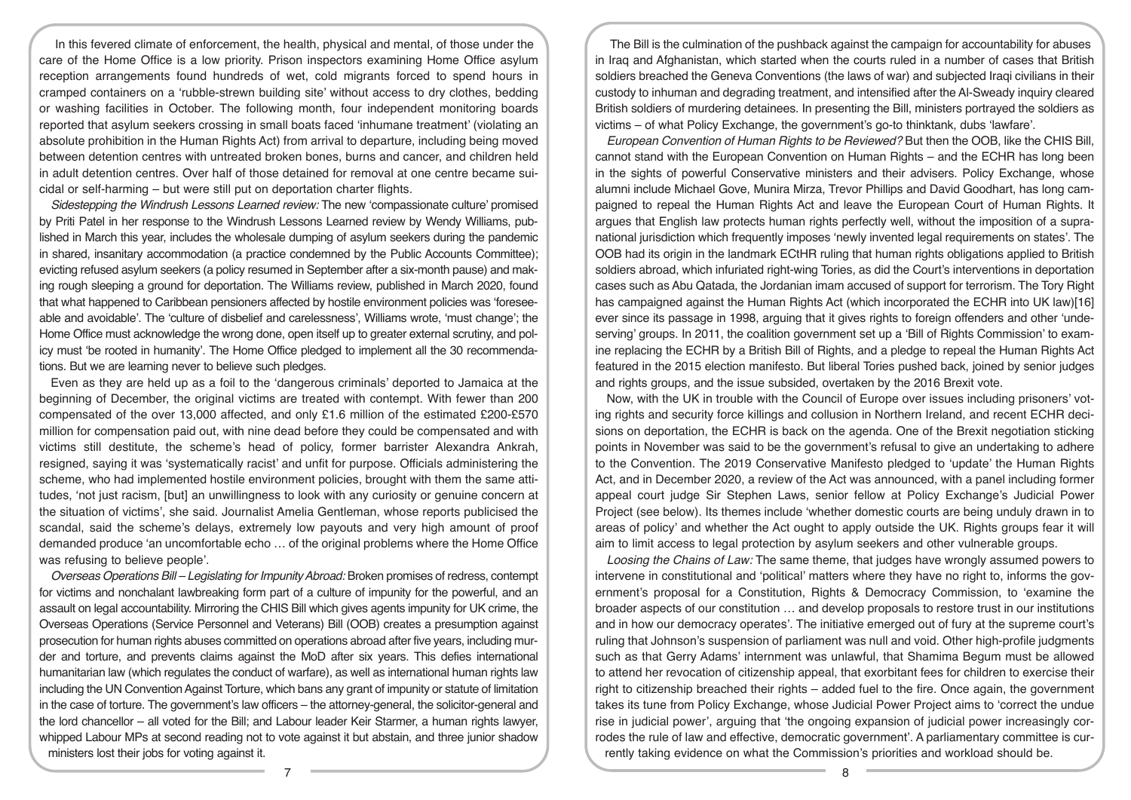In this fevered climate of enforcement, the health, physical and mental, of those under the care of the Home Office is a low priority. Prison inspectors examining Home Office asylum reception arrangements found hundreds of wet, cold migrants forced to spend hours in cramped containers on a 'rubble-strewn building site' without access to dry clothes, bedding or washing facilities in October. The following month, four independent monitoring boards reported that asylum seekers crossing in small boats faced 'inhumane treatment' (violating an absolute prohibition in the Human Rights Act) from arrival to departure, including being moved between detention centres with untreated broken bones, burns and cancer, and children held in adult detention centres. Over half of those detained for removal at one centre became suicidal or self-harming – but were still put on deportation charter flights.

*Sidestepping the Windrush Lessons Learned review:* The new 'compassionate culture' promised by Priti Patel in her response to the Windrush Lessons Learned review by Wendy Williams, published in March this year, includes the wholesale dumping of asylum seekers during the pandemic in shared, insanitary accommodation (a practice condemned by the Public Accounts Committee); evicting refused asylum seekers (a policy resumed in September after a six-month pause) and making rough sleeping a ground for deportation. The Williams review, published in March 2020, found that what happened to Caribbean pensioners affected by hostile environment policies was 'foreseeable and avoidable'. The 'culture of disbelief and carelessness', Williams wrote, 'must change'; the Home Office must acknowledge the wrong done, open itself up to greater external scrutiny, and policy must 'be rooted in humanity'. The Home Office pledged to implement all the 30 recommendations. But we are learning never to believe such pledges.

Even as they are held up as a foil to the 'dangerous criminals' deported to Jamaica at the beginning of December, the original victims are treated with contempt. With fewer than 200 compensated of the over 13,000 affected, and only £1.6 million of the estimated £200-£570 million for compensation paid out, with nine dead before they could be compensated and with victims still destitute, the scheme's head of policy, former barrister Alexandra Ankrah, resigned, saying it was 'systematically racist' and unfit for purpose. Officials administering the scheme, who had implemented hostile environment policies, brought with them the same attitudes, 'not just racism, [but] an unwillingness to look with any curiosity or genuine concern at the situation of victims', she said. Journalist Amelia Gentleman, whose reports publicised the scandal, said the scheme's delays, extremely low payouts and very high amount of proof demanded produce 'an uncomfortable echo … of the original problems where the Home Office was refusing to believe people'.

*Overseas Operations Bill – Legislating for Impunity Abroad:* Broken promises of redress, contempt for victims and nonchalant lawbreaking form part of a culture of impunity for the powerful, and an assault on legal accountability. Mirroring the CHIS Bill which gives agents impunity for UK crime, the Overseas Operations (Service Personnel and Veterans) Bill (OOB) creates a presumption against prosecution for human rights abuses committed on operations abroad after five years, including murder and torture, and prevents claims against the MoD after six years. This defies international humanitarian law (which regulates the conduct of warfare), as well as international human rights law including the UN Convention Against Torture, which bans any grant of impunity or statute of limitation in the case of torture. The government's law officers – the attorney-general, the solicitor-general and the lord chancellor – all voted for the Bill; and Labour leader Keir Starmer, a human rights lawyer, whipped Labour MPs at second reading not to vote against it but abstain, and three junior shadow ministers lost their jobs for voting against it.

The Bill is the culmination of the pushback against the campaign for accountability for abuses in Iraq and Afghanistan, which started when the courts ruled in a number of cases that British soldiers breached the Geneva Conventions (the laws of war) and subjected Iraqi civilians in their custody to inhuman and degrading treatment, and intensified after the Al-Sweady inquiry cleared British soldiers of murdering detainees. In presenting the Bill, ministers portrayed the soldiers as victims – of what Policy Exchange, the government's go-to thinktank, dubs 'lawfare'.

*European Convention of Human Rights to be Reviewed?* But then the OOB, like the CHIS Bill, cannot stand with the European Convention on Human Rights – and the ECHR has long been in the sights of powerful Conservative ministers and their advisers. Policy Exchange, whose alumni include Michael Gove, Munira Mirza, Trevor Phillips and David Goodhart, has long campaigned to repeal the Human Rights Act and leave the European Court of Human Rights. It argues that English law protects human rights perfectly well, without the imposition of a supranational jurisdiction which frequently imposes 'newly invented legal requirements on states'. The OOB had its origin in the landmark ECtHR ruling that human rights obligations applied to British soldiers abroad, which infuriated right-wing Tories, as did the Court's interventions in deportation cases such as Abu Qatada, the Jordanian imam accused of support for terrorism. The Tory Right has campaigned against the Human Rights Act (which incorporated the ECHR into UK law)[16] ever since its passage in 1998, arguing that it gives rights to foreign offenders and other 'undeserving' groups. In 2011, the coalition government set up a 'Bill of Rights Commission' to examine replacing the ECHR by a British Bill of Rights, and a pledge to repeal the Human Rights Act featured in the 2015 election manifesto. But liberal Tories pushed back, joined by senior judges and rights groups, and the issue subsided, overtaken by the 2016 Brexit vote.

Now, with the UK in trouble with the Council of Europe over issues including prisoners' voting rights and security force killings and collusion in Northern Ireland, and recent ECHR decisions on deportation, the ECHR is back on the agenda. One of the Brexit negotiation sticking points in November was said to be the government's refusal to give an undertaking to adhere to the Convention. The 2019 Conservative Manifesto pledged to 'update' the Human Rights Act, and in December 2020, a review of the Act was announced, with a panel including former appeal court judge Sir Stephen Laws, senior fellow at Policy Exchange's Judicial Power Project (see below). Its themes include 'whether domestic courts are being unduly drawn in to areas of policy' and whether the Act ought to apply outside the UK. Rights groups fear it will aim to limit access to legal protection by asylum seekers and other vulnerable groups.

*Loosing the Chains of Law:* The same theme, that judges have wrongly assumed powers to intervene in constitutional and 'political' matters where they have no right to, informs the government's proposal for a Constitution, Rights & Democracy Commission, to 'examine the broader aspects of our constitution … and develop proposals to restore trust in our institutions and in how our democracy operates'. The initiative emerged out of fury at the supreme court's ruling that Johnson's suspension of parliament was null and void. Other high-profile judgments such as that Gerry Adams' internment was unlawful, that Shamima Begum must be allowed to attend her revocation of citizenship appeal, that exorbitant fees for children to exercise their right to citizenship breached their rights – added fuel to the fire. Once again, the government takes its tune from Policy Exchange, whose Judicial Power Project aims to 'correct the undue rise in judicial power', arguing that 'the ongoing expansion of judicial power increasingly corrodes the rule of law and effective, democratic government'. A parliamentary committee is currently taking evidence on what the Commission's priorities and workload should be.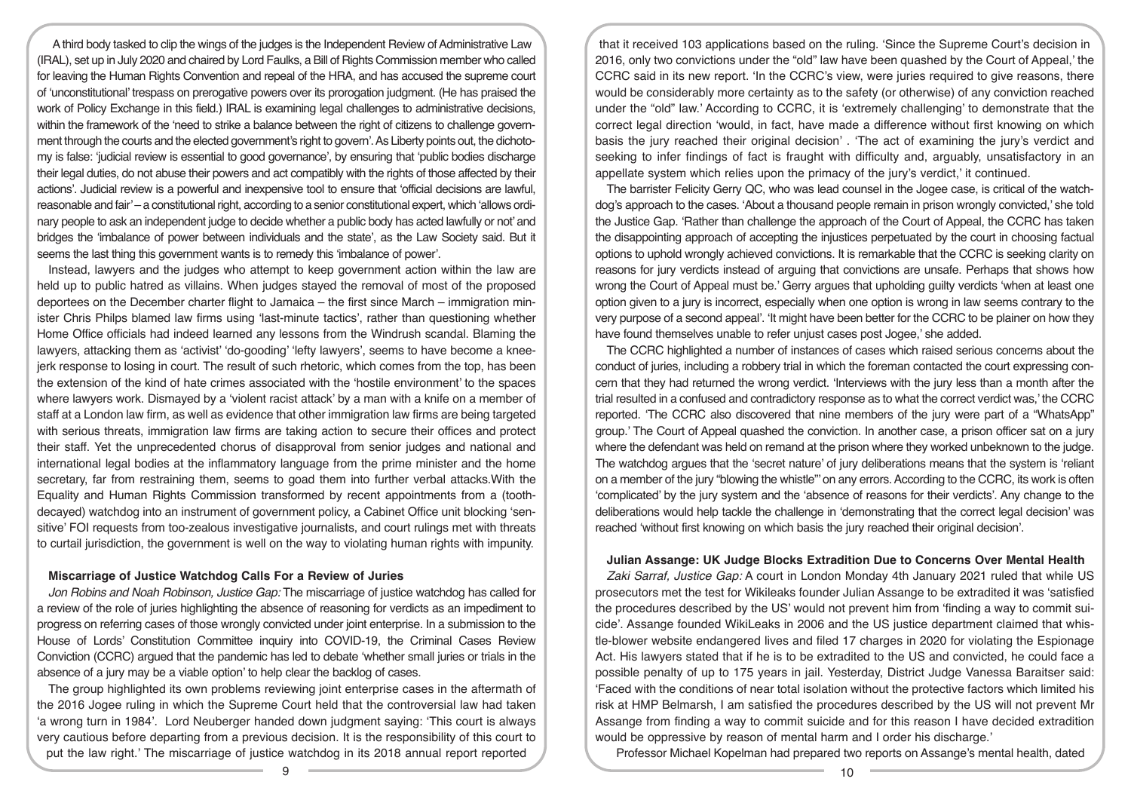A third body tasked to clip the wings of the judges is the Independent Review of Administrative Law (IRAL), set up in July 2020 and chaired by Lord Faulks, a Bill of Rights Commission member who called for leaving the Human Rights Convention and repeal of the HRA, and has accused the supreme court of 'unconstitutional' trespass on prerogative powers over its prorogation judgment. (He has praised the work of Policy Exchange in this field.) IRAL is examining legal challenges to administrative decisions, within the framework of the 'need to strike a balance between the right of citizens to challenge government through the courts and the elected government's right to govern'. As Liberty points out, the dichotomy is false: 'judicial review is essential to good governance', by ensuring that 'public bodies discharge their legal duties, do not abuse their powers and act compatibly with the rights of those affected by their actions'. Judicial review is a powerful and inexpensive tool to ensure that 'official decisions are lawful, reasonable and fair' – a constitutional right, according to a senior constitutional expert, which 'allows ordinary people to ask an independent judge to decide whether a public body has acted lawfully or not' and bridges the 'imbalance of power between individuals and the state', as the Law Society said. But it seems the last thing this government wants is to remedy this 'imbalance of power'.

Instead, lawyers and the judges who attempt to keep government action within the law are held up to public hatred as villains. When judges stayed the removal of most of the proposed deportees on the December charter flight to Jamaica – the first since March – immigration minister Chris Philps blamed law firms using 'last-minute tactics', rather than questioning whether Home Office officials had indeed learned any lessons from the Windrush scandal. Blaming the lawyers, attacking them as 'activist' 'do-gooding' 'lefty lawyers', seems to have become a kneejerk response to losing in court. The result of such rhetoric, which comes from the top, has been the extension of the kind of hate crimes associated with the 'hostile environment' to the spaces where lawyers work. Dismayed by a 'violent racist attack' by a man with a knife on a member of staff at a London law firm, as well as evidence that other immigration law firms are being targeted with serious threats, immigration law firms are taking action to secure their offices and protect their staff. Yet the unprecedented chorus of disapproval from senior judges and national and international legal bodies at the inflammatory language from the prime minister and the home secretary, far from restraining them, seems to goad them into further verbal attacks.With the Equality and Human Rights Commission transformed by recent appointments from a (toothdecayed) watchdog into an instrument of government policy, a Cabinet Office unit blocking 'sensitive' FOI requests from too-zealous investigative journalists, and court rulings met with threats to curtail jurisdiction, the government is well on the way to violating human rights with impunity.

#### **Miscarriage of Justice Watchdog Calls For a Review of Juries**

*Jon Robins and Noah Robinson, Justice Gap:* The miscarriage of justice watchdog has called for a review of the role of juries highlighting the absence of reasoning for verdicts as an impediment to progress on referring cases of those wrongly convicted under joint enterprise. In a submission to the House of Lords' Constitution Committee inquiry into COVID-19, the Criminal Cases Review Conviction (CCRC) argued that the pandemic has led to debate 'whether small juries or trials in the absence of a jury may be a viable option' to help clear the backlog of cases.

The group highlighted its own problems reviewing joint enterprise cases in the aftermath of the 2016 Jogee ruling in which the Supreme Court held that the controversial law had taken 'a wrong turn in 1984'. Lord Neuberger handed down judgment saying: 'This court is always very cautious before departing from a previous decision. It is the responsibility of this court to put the law right.' The miscarriage of justice watchdog in its 2018 annual report reported

that it received 103 applications based on the ruling. 'Since the Supreme Court's decision in 2016, only two convictions under the "old" law have been quashed by the Court of Appeal,' the CCRC said in its new report. 'In the CCRC's view, were juries required to give reasons, there would be considerably more certainty as to the safety (or otherwise) of any conviction reached under the "old" law.' According to CCRC, it is 'extremely challenging' to demonstrate that the correct legal direction 'would, in fact, have made a difference without first knowing on which basis the jury reached their original decision' . 'The act of examining the jury's verdict and seeking to infer findings of fact is fraught with difficulty and, arguably, unsatisfactory in an appellate system which relies upon the primacy of the jury's verdict,' it continued.

The barrister Felicity Gerry QC, who was lead counsel in the Jogee case, is critical of the watchdog's approach to the cases. 'About a thousand people remain in prison wrongly convicted,' she told the Justice Gap. 'Rather than challenge the approach of the Court of Appeal, the CCRC has taken the disappointing approach of accepting the injustices perpetuated by the court in choosing factual options to uphold wrongly achieved convictions. It is remarkable that the CCRC is seeking clarity on reasons for jury verdicts instead of arguing that convictions are unsafe. Perhaps that shows how wrong the Court of Appeal must be.' Gerry argues that upholding guilty verdicts 'when at least one option given to a jury is incorrect, especially when one option is wrong in law seems contrary to the very purpose of a second appeal'. 'It might have been better for the CCRC to be plainer on how they have found themselves unable to refer unjust cases post Jogee,' she added.

The CCRC highlighted a number of instances of cases which raised serious concerns about the conduct of juries, including a robbery trial in which the foreman contacted the court expressing concern that they had returned the wrong verdict. 'Interviews with the jury less than a month after the trial resulted in a confused and contradictory response as to what the correct verdict was,' the CCRC reported. 'The CCRC also discovered that nine members of the jury were part of a "WhatsApp" group.' The Court of Appeal quashed the conviction. In another case, a prison officer sat on a jury where the defendant was held on remand at the prison where they worked unbeknown to the judge. The watchdog argues that the 'secret nature' of jury deliberations means that the system is 'reliant on a member of the jury "blowing the whistle"' on any errors. According to the CCRC, its work is often 'complicated' by the jury system and the 'absence of reasons for their verdicts'. Any change to the deliberations would help tackle the challenge in 'demonstrating that the correct legal decision' was reached 'without first knowing on which basis the jury reached their original decision'.

#### **Julian Assange: UK Judge Blocks Extradition Due to Concerns Over Mental Health**

*Zaki Sarraf, Justice Gap:* A court in London Monday 4th January 2021 ruled that while US prosecutors met the test for Wikileaks founder Julian Assange to be extradited it was 'satisfied the procedures described by the US' would not prevent him from 'finding a way to commit suicide'. Assange founded WikiLeaks in 2006 and the US justice department claimed that whistle-blower website endangered lives and filed 17 charges in 2020 for violating the Espionage Act. His lawyers stated that if he is to be extradited to the US and convicted, he could face a possible penalty of up to 175 years in jail. Yesterday, District Judge Vanessa Baraitser said: 'Faced with the conditions of near total isolation without the protective factors which limited his risk at HMP Belmarsh, I am satisfied the procedures described by the US will not prevent Mr Assange from finding a way to commit suicide and for this reason I have decided extradition would be oppressive by reason of mental harm and I order his discharge.'

Professor Michael Kopelman had prepared two reports on Assange's mental health, dated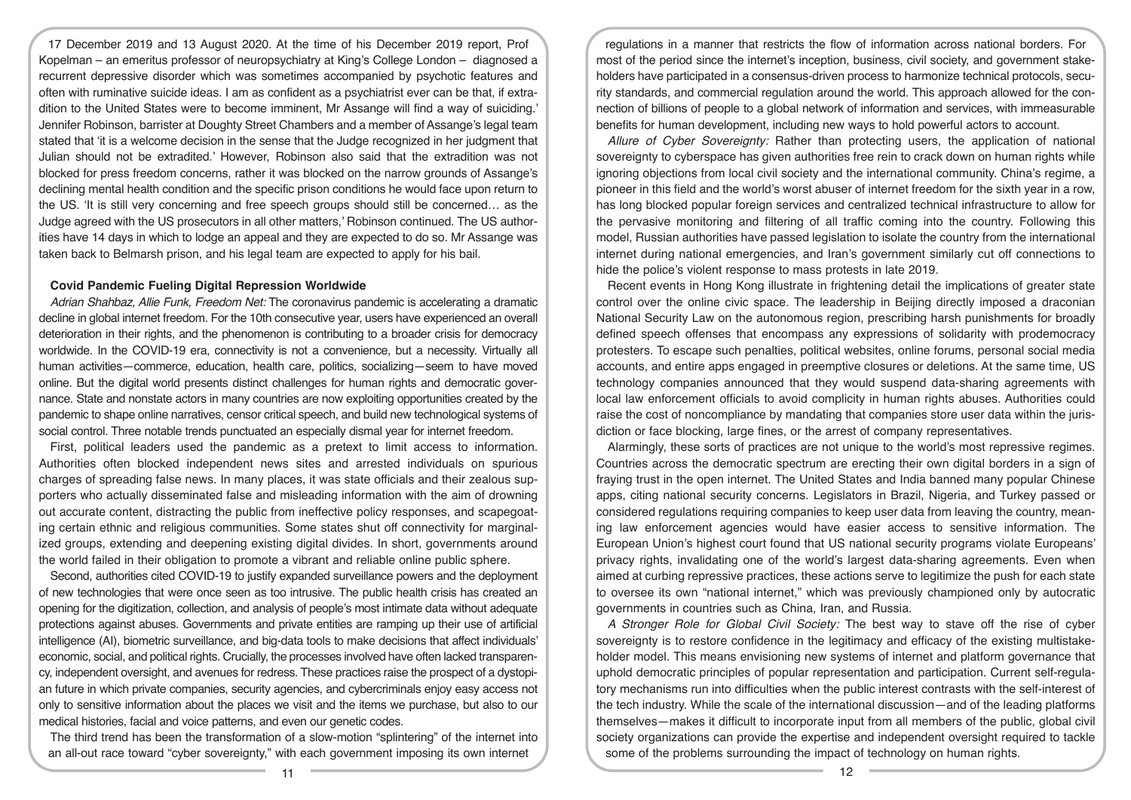17 December 2019 and 13 August 2020. At the time of his December 2019 report, Prof Kopelman – an emeritus professor of neuropsychiatry at King's College London – diagnosed a recurrent depressive disorder which was sometimes accompanied by psychotic features and often with ruminative suicide ideas. I am as confident as a psychiatrist ever can be that, if extradition to the United States were to become imminent, Mr Assange will find a way of suiciding.' Jennifer Robinson, barrister at Doughty Street Chambers and a member of Assange's legal team stated that 'it is a welcome decision in the sense that the Judge recognized in her judgment that Julian should not be extradited.' However, Robinson also said that the extradition was not blocked for press freedom concerns, rather it was blocked on the narrow grounds of Assange's declining mental health condition and the specific prison conditions he would face upon return to the US. 'It is still very concerning and free speech groups should still be concerned… as the Judge agreed with the US prosecutors in all other matters,' Robinson continued. The US authorities have 14 days in which to lodge an appeal and they are expected to do so. Mr Assange was taken back to Belmarsh prison, and his legal team are expected to apply for his bail.

#### **Covid Pandemic Fueling Digital Repression Worldwide**

*Adrian Shahbaz, Allie Funk, Freedom Net:* The coronavirus pandemic is accelerating a dramatic decline in global internet freedom. For the 10th consecutive year, users have experienced an overall deterioration in their rights, and the phenomenon is contributing to a broader crisis for democracy worldwide. In the COVID-19 era, connectivity is not a convenience, but a necessity. Virtually all human activities—commerce, education, health care, politics, socializing—seem to have moved online. But the digital world presents distinct challenges for human rights and democratic governance. State and nonstate actors in many countries are now exploiting opportunities created by the pandemic to shape online narratives, censor critical speech, and build new technological systems of social control. Three notable trends punctuated an especially dismal year for internet freedom.

First, political leaders used the pandemic as a pretext to limit access to information. Authorities often blocked independent news sites and arrested individuals on spurious charges of spreading false news. In many places, it was state officials and their zealous supporters who actually disseminated false and misleading information with the aim of drowning out accurate content, distracting the public from ineffective policy responses, and scapegoating certain ethnic and religious communities. Some states shut off connectivity for marginalized groups, extending and deepening existing digital divides. In short, governments around the world failed in their obligation to promote a vibrant and reliable online public sphere.

Second, authorities cited COVID-19 to justify expanded surveillance powers and the deployment of new technologies that were once seen as too intrusive. The public health crisis has created an opening for the digitization, collection, and analysis of people's most intimate data without adequate protections against abuses. Governments and private entities are ramping up their use of artificial intelligence (AI), biometric surveillance, and big-data tools to make decisions that affect individuals' economic, social, and political rights. Crucially, the processes involved have often lacked transparency, independent oversight, and avenues for redress. These practices raise the prospect of a dystopian future in which private companies, security agencies, and cybercriminals enjoy easy access not only to sensitive information about the places we visit and the items we purchase, but also to our medical histories, facial and voice patterns, and even our genetic codes.

The third trend has been the transformation of a slow-motion "splintering" of the internet into an all-out race toward "cyber sovereignty," with each government imposing its own internet

regulations in a manner that restricts the flow of information across national borders. For most of the period since the internet's inception, business, civil society, and government stakeholders have participated in a consensus-driven process to harmonize technical protocols, security standards, and commercial regulation around the world. This approach allowed for the connection of billions of people to a global network of information and services, with immeasurable benefits for human development, including new ways to hold powerful actors to account.

*Allure of Cyber Sovereignty:* Rather than protecting users, the application of national sovereignty to cyberspace has given authorities free rein to crack down on human rights while ignoring objections from local civil society and the international community. China's regime, a pioneer in this field and the world's worst abuser of internet freedom for the sixth year in a row, has long blocked popular foreign services and centralized technical infrastructure to allow for the pervasive monitoring and filtering of all traffic coming into the country. Following this model, Russian authorities have passed legislation to isolate the country from the international internet during national emergencies, and Iran's government similarly cut off connections to hide the police's violent response to mass protests in late 2019.

Recent events in Hong Kong illustrate in frightening detail the implications of greater state control over the online civic space. The leadership in Beijing directly imposed a draconian National Security Law on the autonomous region, prescribing harsh punishments for broadly defined speech offenses that encompass any expressions of solidarity with prodemocracy protesters. To escape such penalties, political websites, online forums, personal social media accounts, and entire apps engaged in preemptive closures or deletions. At the same time, US technology companies announced that they would suspend data-sharing agreements with local law enforcement officials to avoid complicity in human rights abuses. Authorities could raise the cost of noncompliance by mandating that companies store user data within the jurisdiction or face blocking, large fines, or the arrest of company representatives.

Alarmingly, these sorts of practices are not unique to the world's most repressive regimes. Countries across the democratic spectrum are erecting their own digital borders in a sign of fraying trust in the open internet. The United States and India banned many popular Chinese apps, citing national security concerns. Legislators in Brazil, Nigeria, and Turkey passed or considered regulations requiring companies to keep user data from leaving the country, meaning law enforcement agencies would have easier access to sensitive information. The European Union's highest court found that US national security programs violate Europeans' privacy rights, invalidating one of the world's largest data-sharing agreements. Even when aimed at curbing repressive practices, these actions serve to legitimize the push for each state to oversee its own "national internet," which was previously championed only by autocratic governments in countries such as China, Iran, and Russia.

*A Stronger Role for Global Civil Society:* The best way to stave off the rise of cyber sovereignty is to restore confidence in the legitimacy and efficacy of the existing multistakeholder model. This means envisioning new systems of internet and platform governance that uphold democratic principles of popular representation and participation. Current self-regulatory mechanisms run into difficulties when the public interest contrasts with the self-interest of the tech industry. While the scale of the international discussion—and of the leading platforms themselves—makes it difficult to incorporate input from all members of the public, global civil society organizations can provide the expertise and independent oversight required to tackle some of the problems surrounding the impact of technology on human rights.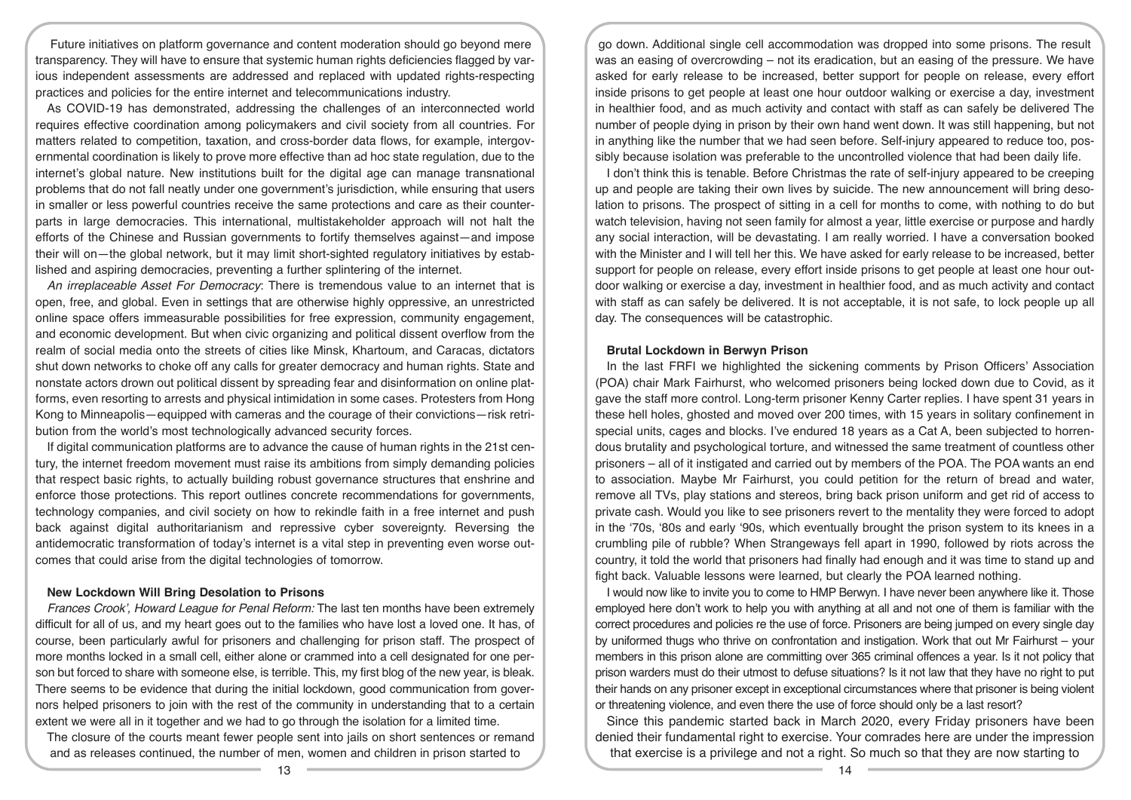Future initiatives on platform governance and content moderation should go beyond mere transparency. They will have to ensure that systemic human rights deficiencies flagged by various independent assessments are addressed and replaced with updated rights-respecting practices and policies for the entire internet and telecommunications industry.

As COVID-19 has demonstrated, addressing the challenges of an interconnected world requires effective coordination among policymakers and civil society from all countries. For matters related to competition, taxation, and cross-border data flows, for example, intergovernmental coordination is likely to prove more effective than ad hoc state regulation, due to the internet's global nature. New institutions built for the digital age can manage transnational problems that do not fall neatly under one government's jurisdiction, while ensuring that users in smaller or less powerful countries receive the same protections and care as their counterparts in large democracies. This international, multistakeholder approach will not halt the efforts of the Chinese and Russian governments to fortify themselves against—and impose their will on—the global network, but it may limit short-sighted regulatory initiatives by established and aspiring democracies, preventing a further splintering of the internet.

*An irreplaceable Asset For Democracy*: There is tremendous value to an internet that is open, free, and global. Even in settings that are otherwise highly oppressive, an unrestricted online space offers immeasurable possibilities for free expression, community engagement, and economic development. But when civic organizing and political dissent overflow from the realm of social media onto the streets of cities like Minsk, Khartoum, and Caracas, dictators shut down networks to choke off any calls for greater democracy and human rights. State and nonstate actors drown out political dissent by spreading fear and disinformation on online platforms, even resorting to arrests and physical intimidation in some cases. Protesters from Hong Kong to Minneapolis—equipped with cameras and the courage of their convictions—risk retribution from the world's most technologically advanced security forces.

If digital communication platforms are to advance the cause of human rights in the 21st century, the internet freedom movement must raise its ambitions from simply demanding policies that respect basic rights, to actually building robust governance structures that enshrine and enforce those protections. This report outlines concrete recommendations for governments, technology companies, and civil society on how to rekindle faith in a free internet and push back against digital authoritarianism and repressive cyber sovereignty. Reversing the antidemocratic transformation of today's internet is a vital step in preventing even worse outcomes that could arise from the digital technologies of tomorrow.

## **New Lockdown Will Bring Desolation to Prisons**

*Frances Crook', Howard League for Penal Reform:* The last ten months have been extremely difficult for all of us, and my heart goes out to the families who have lost a loved one. It has, of course, been particularly awful for prisoners and challenging for prison staff. The prospect of more months locked in a small cell, either alone or crammed into a cell designated for one person but forced to share with someone else, is terrible. This, my first blog of the new year, is bleak. There seems to be evidence that during the initial lockdown, good communication from governors helped prisoners to join with the rest of the community in understanding that to a certain extent we were all in it together and we had to go through the isolation for a limited time.

The closure of the courts meant fewer people sent into jails on short sentences or remand and as releases continued, the number of men, women and children in prison started to

go down. Additional single cell accommodation was dropped into some prisons. The result was an easing of overcrowding – not its eradication, but an easing of the pressure. We have asked for early release to be increased, better support for people on release, every effort inside prisons to get people at least one hour outdoor walking or exercise a day, investment in healthier food, and as much activity and contact with staff as can safely be delivered The number of people dying in prison by their own hand went down. It was still happening, but not in anything like the number that we had seen before. Self-injury appeared to reduce too, possibly because isolation was preferable to the uncontrolled violence that had been daily life.

I don't think this is tenable. Before Christmas the rate of self-injury appeared to be creeping up and people are taking their own lives by suicide. The new announcement will bring desolation to prisons. The prospect of sitting in a cell for months to come, with nothing to do but watch television, having not seen family for almost a year, little exercise or purpose and hardly any social interaction, will be devastating. I am really worried. I have a conversation booked with the Minister and I will tell her this. We have asked for early release to be increased, better support for people on release, every effort inside prisons to get people at least one hour outdoor walking or exercise a day, investment in healthier food, and as much activity and contact with staff as can safely be delivered. It is not acceptable, it is not safe, to lock people up all day. The consequences will be catastrophic.

## **Brutal Lockdown in Berwyn Prison**

In the last FRFI we highlighted the sickening comments by Prison Officers' Association (POA) chair Mark Fairhurst, who welcomed prisoners being locked down due to Covid, as it gave the staff more control. Long-term prisoner Kenny Carter replies. I have spent 31 years in these hell holes, ghosted and moved over 200 times, with 15 years in solitary confinement in special units, cages and blocks. I've endured 18 years as a Cat A, been subjected to horrendous brutality and psychological torture, and witnessed the same treatment of countless other prisoners – all of it instigated and carried out by members of the POA. The POA wants an end to association. Maybe Mr Fairhurst, you could petition for the return of bread and water, remove all TVs, play stations and stereos, bring back prison uniform and get rid of access to private cash. Would you like to see prisoners revert to the mentality they were forced to adopt in the '70s, '80s and early '90s, which eventually brought the prison system to its knees in a crumbling pile of rubble? When Strangeways fell apart in 1990, followed by riots across the country, it told the world that prisoners had finally had enough and it was time to stand up and fight back. Valuable lessons were learned, but clearly the POA learned nothing.

I would now like to invite you to come to HMP Berwyn. I have never been anywhere like it. Those employed here don't work to help you with anything at all and not one of them is familiar with the correct procedures and policies re the use of force. Prisoners are being jumped on every single day by uniformed thugs who thrive on confrontation and instigation. Work that out Mr Fairhurst – your members in this prison alone are committing over 365 criminal offences a year. Is it not policy that prison warders must do their utmost to defuse situations? Is it not law that they have no right to put their hands on any prisoner except in exceptional circumstances where that prisoner is being violent or threatening violence, and even there the use of force should only be a last resort?

Since this pandemic started back in March 2020, every Friday prisoners have been denied their fundamental right to exercise. Your comrades here are under the impression that exercise is a privilege and not a right. So much so that they are now starting to